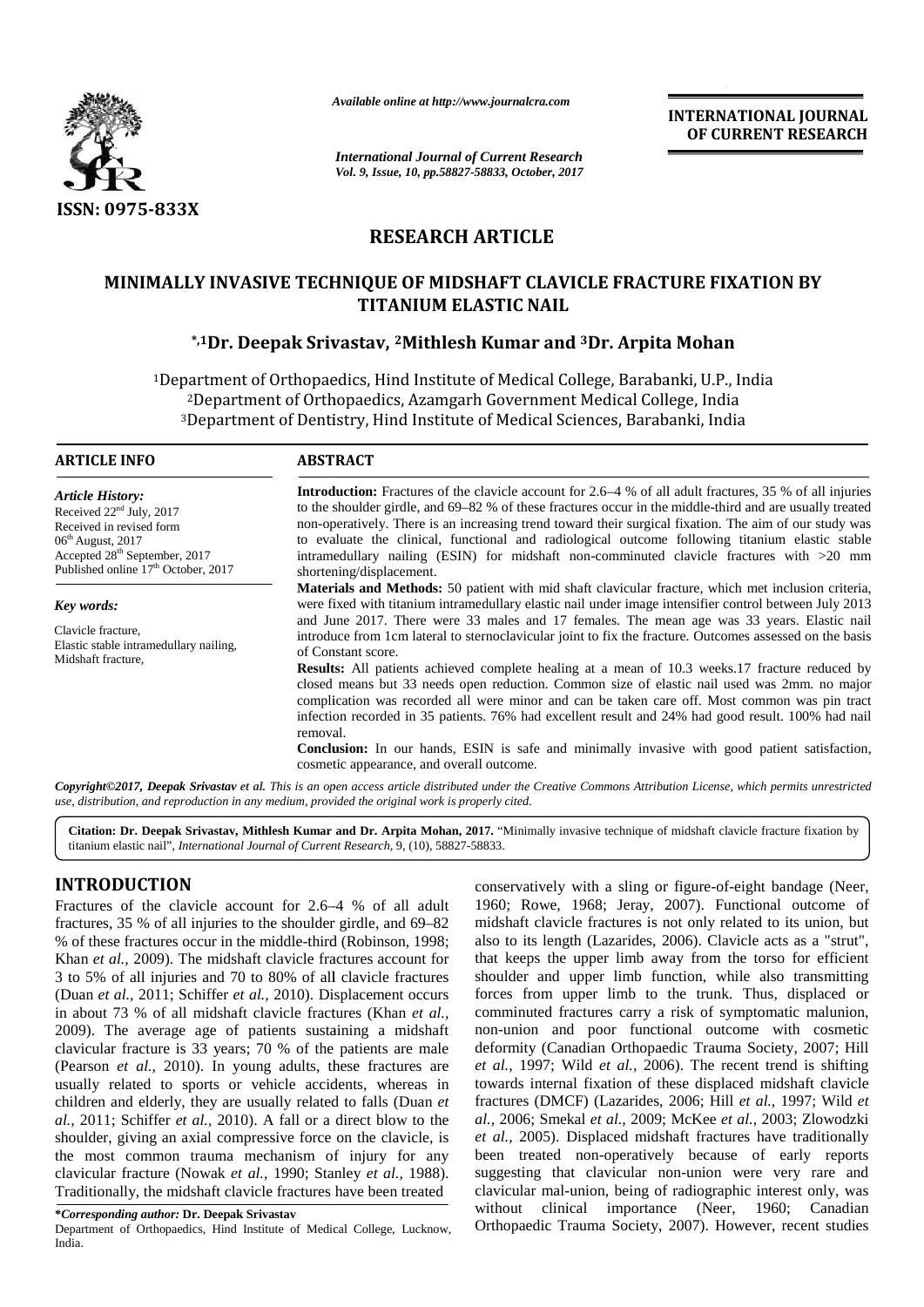

*Available online at http://www.journalcra.com*

**INTERNATIONAL JOURNAL OF CURRENT RESEARCH**

# **RESEARCH ARTICLE**

# **MINIMALLY INVASIVE TECHNIQUE OF MIDSHAFT CLAVICLE FRACTURE FIXATION BY OF NAILTITANIUM ELASTIC NAIL**

## **\*,1Dr. Deepak Srivastav, <sup>2</sup>Mithlesh Kumar and <sup>3</sup>Dr. Arpita Mohan**

|                                                                                                                                                                                                                                                                                                                                                                                                                                                                                                                                                                                                                                                                                                                                                                                                                                                                                                                                                                                                                                                                                                                                                                           |                                                                                                                                                                                                                                                                                                                                                                                                                                                                                                                                                                                                                                                                                                                                                                                                                                                                                                                                                                                                                         | <b>INTERNATIONAL JOURNAL</b><br>OF CURRENT RESEARCH                                                                                                                                                                                                                                                                                                                                                                                                                                                                                                                                                                                                                                                                                                                                                                                                                                                                                                                                                                                         |  |  |
|---------------------------------------------------------------------------------------------------------------------------------------------------------------------------------------------------------------------------------------------------------------------------------------------------------------------------------------------------------------------------------------------------------------------------------------------------------------------------------------------------------------------------------------------------------------------------------------------------------------------------------------------------------------------------------------------------------------------------------------------------------------------------------------------------------------------------------------------------------------------------------------------------------------------------------------------------------------------------------------------------------------------------------------------------------------------------------------------------------------------------------------------------------------------------|-------------------------------------------------------------------------------------------------------------------------------------------------------------------------------------------------------------------------------------------------------------------------------------------------------------------------------------------------------------------------------------------------------------------------------------------------------------------------------------------------------------------------------------------------------------------------------------------------------------------------------------------------------------------------------------------------------------------------------------------------------------------------------------------------------------------------------------------------------------------------------------------------------------------------------------------------------------------------------------------------------------------------|---------------------------------------------------------------------------------------------------------------------------------------------------------------------------------------------------------------------------------------------------------------------------------------------------------------------------------------------------------------------------------------------------------------------------------------------------------------------------------------------------------------------------------------------------------------------------------------------------------------------------------------------------------------------------------------------------------------------------------------------------------------------------------------------------------------------------------------------------------------------------------------------------------------------------------------------------------------------------------------------------------------------------------------------|--|--|
|                                                                                                                                                                                                                                                                                                                                                                                                                                                                                                                                                                                                                                                                                                                                                                                                                                                                                                                                                                                                                                                                                                                                                                           | <b>International Journal of Current Research</b><br>Vol. 9, Issue, 10, pp.58827-58833, October, 2017                                                                                                                                                                                                                                                                                                                                                                                                                                                                                                                                                                                                                                                                                                                                                                                                                                                                                                                    |                                                                                                                                                                                                                                                                                                                                                                                                                                                                                                                                                                                                                                                                                                                                                                                                                                                                                                                                                                                                                                             |  |  |
|                                                                                                                                                                                                                                                                                                                                                                                                                                                                                                                                                                                                                                                                                                                                                                                                                                                                                                                                                                                                                                                                                                                                                                           |                                                                                                                                                                                                                                                                                                                                                                                                                                                                                                                                                                                                                                                                                                                                                                                                                                                                                                                                                                                                                         |                                                                                                                                                                                                                                                                                                                                                                                                                                                                                                                                                                                                                                                                                                                                                                                                                                                                                                                                                                                                                                             |  |  |
| <b>ISSN: 0975-833X</b>                                                                                                                                                                                                                                                                                                                                                                                                                                                                                                                                                                                                                                                                                                                                                                                                                                                                                                                                                                                                                                                                                                                                                    |                                                                                                                                                                                                                                                                                                                                                                                                                                                                                                                                                                                                                                                                                                                                                                                                                                                                                                                                                                                                                         |                                                                                                                                                                                                                                                                                                                                                                                                                                                                                                                                                                                                                                                                                                                                                                                                                                                                                                                                                                                                                                             |  |  |
|                                                                                                                                                                                                                                                                                                                                                                                                                                                                                                                                                                                                                                                                                                                                                                                                                                                                                                                                                                                                                                                                                                                                                                           | <b>RESEARCH ARTICLE</b>                                                                                                                                                                                                                                                                                                                                                                                                                                                                                                                                                                                                                                                                                                                                                                                                                                                                                                                                                                                                 |                                                                                                                                                                                                                                                                                                                                                                                                                                                                                                                                                                                                                                                                                                                                                                                                                                                                                                                                                                                                                                             |  |  |
|                                                                                                                                                                                                                                                                                                                                                                                                                                                                                                                                                                                                                                                                                                                                                                                                                                                                                                                                                                                                                                                                                                                                                                           |                                                                                                                                                                                                                                                                                                                                                                                                                                                                                                                                                                                                                                                                                                                                                                                                                                                                                                                                                                                                                         | MINIMALLY INVASIVE TECHNIQUE OF MIDSHAFT CLAVICLE FRACTURE FIXATION BY<br><b>TITANIUM ELASTIC NAIL</b>                                                                                                                                                                                                                                                                                                                                                                                                                                                                                                                                                                                                                                                                                                                                                                                                                                                                                                                                      |  |  |
|                                                                                                                                                                                                                                                                                                                                                                                                                                                                                                                                                                                                                                                                                                                                                                                                                                                                                                                                                                                                                                                                                                                                                                           |                                                                                                                                                                                                                                                                                                                                                                                                                                                                                                                                                                                                                                                                                                                                                                                                                                                                                                                                                                                                                         | *,1Dr. Deepak Srivastav, <sup>2</sup> Mithlesh Kumar and <sup>3</sup> Dr. Arpita Mohan                                                                                                                                                                                                                                                                                                                                                                                                                                                                                                                                                                                                                                                                                                                                                                                                                                                                                                                                                      |  |  |
|                                                                                                                                                                                                                                                                                                                                                                                                                                                                                                                                                                                                                                                                                                                                                                                                                                                                                                                                                                                                                                                                                                                                                                           |                                                                                                                                                                                                                                                                                                                                                                                                                                                                                                                                                                                                                                                                                                                                                                                                                                                                                                                                                                                                                         | <sup>1</sup> Department of Orthopaedics, Hind Institute of Medical College, Barabanki, U.P., India<br><sup>2</sup> Department of Orthopaedics, Azamgarh Government Medical College, India<br><sup>3</sup> Department of Dentistry, Hind Institute of Medical Sciences, Barabanki, India                                                                                                                                                                                                                                                                                                                                                                                                                                                                                                                                                                                                                                                                                                                                                     |  |  |
| <b>ARTICLE INFO</b>                                                                                                                                                                                                                                                                                                                                                                                                                                                                                                                                                                                                                                                                                                                                                                                                                                                                                                                                                                                                                                                                                                                                                       | <b>ABSTRACT</b>                                                                                                                                                                                                                                                                                                                                                                                                                                                                                                                                                                                                                                                                                                                                                                                                                                                                                                                                                                                                         |                                                                                                                                                                                                                                                                                                                                                                                                                                                                                                                                                                                                                                                                                                                                                                                                                                                                                                                                                                                                                                             |  |  |
| <b>Article History:</b><br>Received 22 <sup>nd</sup> July, 2017<br>Received in revised form<br>06 <sup>th</sup> August, 2017<br>Accepted 28 <sup>th</sup> September, 2017<br>Published online 17 <sup>th</sup> October, 2017                                                                                                                                                                                                                                                                                                                                                                                                                                                                                                                                                                                                                                                                                                                                                                                                                                                                                                                                              | <b>Introduction:</b> Fractures of the clavicle account for 2.6–4 % of all adult fractures, 35 % of all injuries<br>to the shoulder girdle, and 69–82 % of these fractures occur in the middle-third and are usually treated<br>non-operatively. There is an increasing trend toward their surgical fixation. The aim of our study was<br>to evaluate the clinical, functional and radiological outcome following titanium elastic stable<br>intramedullary nailing (ESIN) for midshaft non-comminuted clavicle fractures with >20 mm<br>shortening/displacement.                                                                                                                                                                                                                                                                                                                                                                                                                                                        |                                                                                                                                                                                                                                                                                                                                                                                                                                                                                                                                                                                                                                                                                                                                                                                                                                                                                                                                                                                                                                             |  |  |
| Key words:<br>Clavicle fracture,<br>Elastic stable intramedullary nailing,<br>Midshaft fracture,                                                                                                                                                                                                                                                                                                                                                                                                                                                                                                                                                                                                                                                                                                                                                                                                                                                                                                                                                                                                                                                                          | Materials and Methods: 50 patient with mid shaft clavicular fracture, which met inclusion criteria,<br>were fixed with titanium intramedullary elastic nail under image intensifier control between July 2013<br>and June 2017. There were 33 males and 17 females. The mean age was 33 years. Elastic nail<br>introduce from 1cm lateral to sternoclavicular joint to fix the fracture. Outcomes assessed on the basis<br>of Constant score.<br>Results: All patients achieved complete healing at a mean of 10.3 weeks.17 fracture reduced by<br>closed means but 33 needs open reduction. Common size of elastic nail used was 2mm. no major<br>complication was recorded all were minor and can be taken care off. Most common was pin tract<br>infection recorded in 35 patients. 76% had excellent result and 24% had good result. 100% had nail<br>removal.<br><b>Conclusion:</b> In our hands, ESIN is safe and minimally invasive with good patient satisfaction,<br>cosmetic appearance, and overall outcome. |                                                                                                                                                                                                                                                                                                                                                                                                                                                                                                                                                                                                                                                                                                                                                                                                                                                                                                                                                                                                                                             |  |  |
| use, distribution, and reproduction in any medium, provided the original work is properly cited.                                                                                                                                                                                                                                                                                                                                                                                                                                                                                                                                                                                                                                                                                                                                                                                                                                                                                                                                                                                                                                                                          |                                                                                                                                                                                                                                                                                                                                                                                                                                                                                                                                                                                                                                                                                                                                                                                                                                                                                                                                                                                                                         | Copyright©2017, Deepak Srivastav et al. This is an open access article distributed under the Creative Commons Attribution License, which permits unrestricted                                                                                                                                                                                                                                                                                                                                                                                                                                                                                                                                                                                                                                                                                                                                                                                                                                                                               |  |  |
| titanium elastic nail", International Journal of Current Research, 9, (10), 58827-58833.                                                                                                                                                                                                                                                                                                                                                                                                                                                                                                                                                                                                                                                                                                                                                                                                                                                                                                                                                                                                                                                                                  |                                                                                                                                                                                                                                                                                                                                                                                                                                                                                                                                                                                                                                                                                                                                                                                                                                                                                                                                                                                                                         | Citation: Dr. Deepak Srivastav, Mithlesh Kumar and Dr. Arpita Mohan, 2017. "Minimally invasive technique of midshaft clavicle fracture fixation by                                                                                                                                                                                                                                                                                                                                                                                                                                                                                                                                                                                                                                                                                                                                                                                                                                                                                          |  |  |
| <b>INTRODUCTION</b><br>Fractures of the clavicle account for 2.6–4 % of all adult<br>fractures, 35 % of all injuries to the shoulder girdle, and 69–82<br>% of these fractures occur in the middle-third (Robinson, 1998;<br>Khan et al., 2009). The midshaft clavicle fractures account for<br>3 to 5% of all injuries and 70 to 80% of all clavicle fractures<br>(Duan et al., 2011; Schiffer et al., 2010). Displacement occurs<br>in about 73 % of all midshaft clavicle fractures (Khan et al.,<br>2009). The average age of patients sustaining a midshaft<br>clavicular fracture is 33 years; 70 % of the patients are male<br>(Pearson et al., 2010). In young adults, these fractures are<br>usually related to sports or vehicle accidents, whereas in<br>children and elderly, they are usually related to falls (Duan et<br>al., 2011; Schiffer et al., 2010). A fall or a direct blow to the<br>shoulder, giving an axial compressive force on the clavicle, is<br>the most common trauma mechanism of injury for any<br>clavicular fracture (Nowak et al., 1990; Stanley et al., 1988).<br>Traditionally, the midshaft clavicle fractures have been treated |                                                                                                                                                                                                                                                                                                                                                                                                                                                                                                                                                                                                                                                                                                                                                                                                                                                                                                                                                                                                                         | conservatively with a sling or figure-of-eight bandage (Neer,<br>1960; Rowe, 1968; Jeray, 2007). Functional outcome of<br>midshaft clavicle fractures is not only related to its union, but<br>also to its length (Lazarides, 2006). Clavicle acts as a "strut",<br>that keeps the upper limb away from the torso for efficient<br>shoulder and upper limb function, while also transmitting<br>forces from upper limb to the trunk. Thus, displaced or<br>comminuted fractures carry a risk of symptomatic malunion,<br>non-union and poor functional outcome with cosmetic<br>deformity (Canadian Orthopaedic Trauma Society, 2007; Hill<br>et al., 1997; Wild et al., 2006). The recent trend is shifting<br>towards internal fixation of these displaced midshaft clavicle<br>fractures (DMCF) (Lazarides, 2006; Hill et al., 1997; Wild et<br>al., 2006; Smekal et al., 2009; McKee et al., 2003; Zlowodzki<br>et al., 2005). Displaced midshaft fractures have traditionally<br>been treated non-operatively because of early reports |  |  |

# **INTRODUCTION INTRODUCTION**

Department of Orthopaedics, Hind Institute of Medical College, Lucknow, India.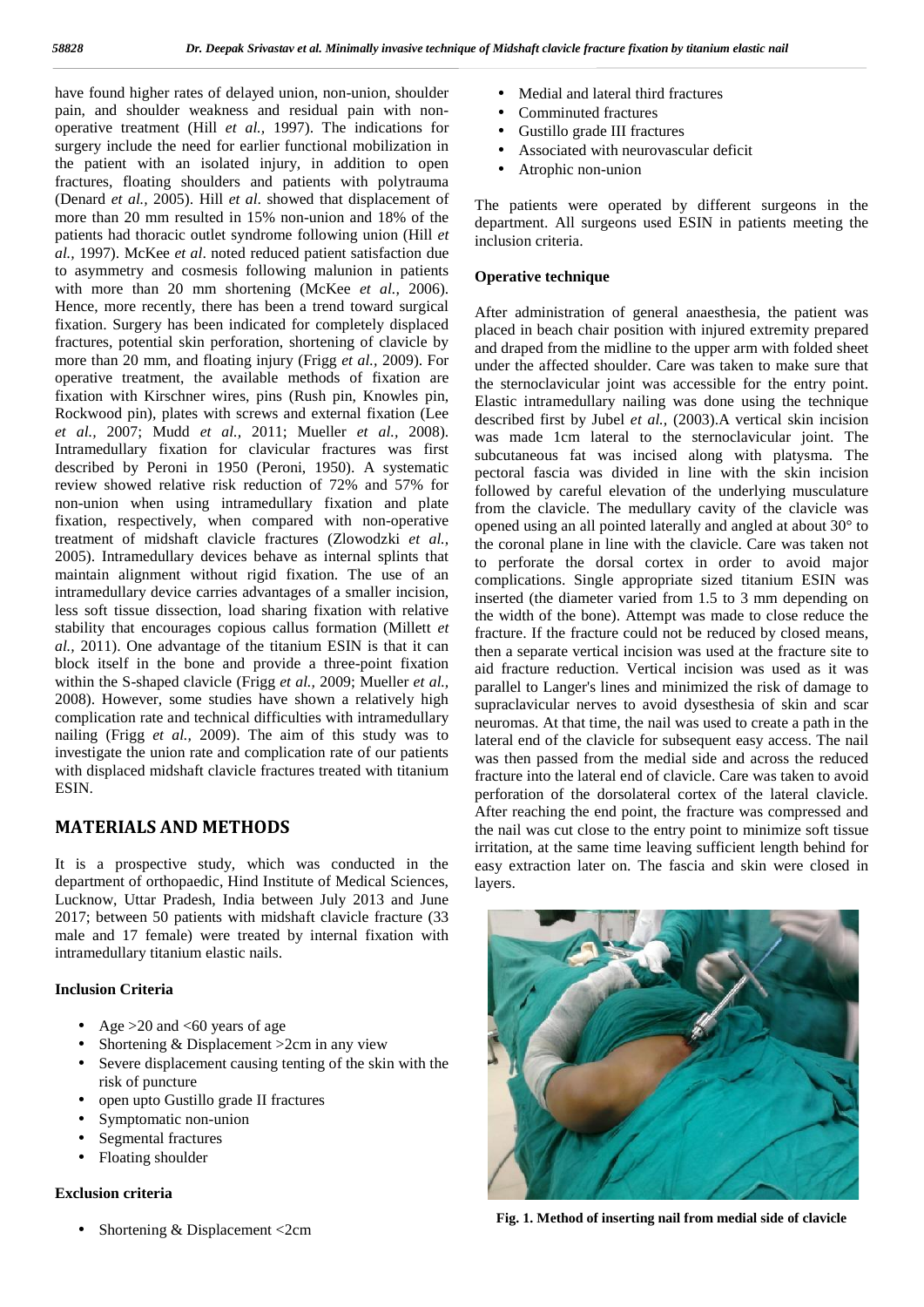have found higher rates of delayed union, non-union, shoulder pain, and shoulder weakness and residual pain with non operative treatment (Hill *et al.,* 1997). The indications for surgery include the need for earlier functional mobilization in the patient with an isolated injury, in addition to open fractures, floating shoulders and patients with polytrauma (Denard *et al.,* 2005). Hill *et al*. showed that displacement of more than 20 mm resulted in 15% non-union and 18% of the patients had thoracic outlet syndrome following union (Hill *et al.,* 1997). McKee *et al*. noted reduced patient satisfaction due to asymmetry and cosmesis following malunion in patients with more than 20 mm shortening (McKee *et al.,* 2006). Hence, more recently, there has been a trend toward surgical fixation. Surgery has been indicated for completely displaced fractures, potential skin perforation, shortening of clavicle by more than 20 mm, and floating injury (Frigg *et al.,* 2009). For operative treatment, the available methods of fixation are fixation with Kirschner wires, pins (Rush pin, Knowles pin, Rockwood pin), plates with screws and external fixation (Lee *et al.,* 2007; Mudd *et al.,* 2011; Mueller *et al.,* 2008). Intramedullary fixation for clavicular fractures was first described by Peroni in 1950 (Peroni, 1950). A systematic review showed relative risk reduction of 72% and 57% for non-union when using intramedullary fixation and plate fixation, respectively, when compared with non-operative treatment of midshaft clavicle fractures (Zlowodzki *et al.,* 2005). Intramedullary devices behave as internal splints that maintain alignment without rigid fixation. The use of an intramedullary device carries advantages of a smaller incision, less soft tissue dissection, load sharing fixation with relative stability that encourages copious callus formation (Millett *et al.,* 2011). One advantage of the titanium ESIN is that it can block itself in the bone and provide a three-point fixation within the S-shaped clavicle (Frigg *et al.,* 2009; Mueller *et al.,* 2008). However, some studies have shown a relatively high complication rate and technical difficulties with intramedullary nailing (Frigg *et al.,* 2009). The aim of this study was to investigate the union rate and complication rate of our patients with displaced midshaft clavicle fractures treated with titanium **ESIN.** 

## **MATERIALS AND METHODS**

It is a prospective study, which was conducted in the department of orthopaedic, Hind Institute of Medical Sciences, Lucknow, Uttar Pradesh, India between July 2013 and June 2017; between 50 patients with midshaft clavicle fracture (33 male and 17 female) were treated by internal fixation with intramedullary titanium elastic nails.

#### **Inclusion Criteria**

- Age  $>20$  and  $< 60$  years of age
- Shortening & Displacement >2cm in any view
- Severe displacement causing tenting of the skin with the risk of puncture
- open upto Gustillo grade II fractures
- Symptomatic non-union
- Segmental fractures
- Floating shoulder

#### **Exclusion criteria**

• Shortening & Displacement <2cm

- Medial and lateral third fractures
- Comminuted fractures
- Gustillo grade III fractures
- Associated with neurovascular deficit
- Atrophic non-union

The patients were operated by different surgeons in the department. All surgeons used ESIN in patients meeting the inclusion criteria.

#### **Operative technique**

After administration of general anaesthesia, the patient was placed in beach chair position with injured extremity prepared and draped from the midline to the upper arm with folded sheet under the affected shoulder. Care was taken to make sure that the sternoclavicular joint was accessible for the entry point. Elastic intramedullary nailing was done using the technique described first by Jubel *et al.,* (2003).A vertical skin incision was made 1cm lateral to the sternoclavicular joint. The subcutaneous fat was incised along with platysma. The pectoral fascia was divided in line with the skin incision followed by careful elevation of the underlying musculature from the clavicle. The medullary cavity of the clavicle was opened using an all pointed laterally and angled at about 30° to the coronal plane in line with the clavicle. Care was taken not to perforate the dorsal cortex in order to avoid major complications. Single appropriate sized titanium ESIN was inserted (the diameter varied from 1.5 to 3 mm depending on the width of the bone). Attempt was made to close reduce the fracture. If the fracture could not be reduced by closed means, then a separate vertical incision was used at the fracture site to aid fracture reduction. Vertical incision was used as it was parallel to Langer's lines and minimized the risk of damage to supraclavicular nerves to avoid dysesthesia of skin and scar neuromas. At that time, the nail was used to create a path in the lateral end of the clavicle for subsequent easy access. The nail was then passed from the medial side and across the reduced fracture into the lateral end of clavicle. Care was taken to avoid perforation of the dorsolateral cortex of the lateral clavicle. After reaching the end point, the fracture was compressed and the nail was cut close to the entry point to minimize soft tissue irritation, at the same time leaving sufficient length behind for easy extraction later on. The fascia and skin were closed in layers.



**Fig. 1. Method of inserting nail from medial side of clavicle**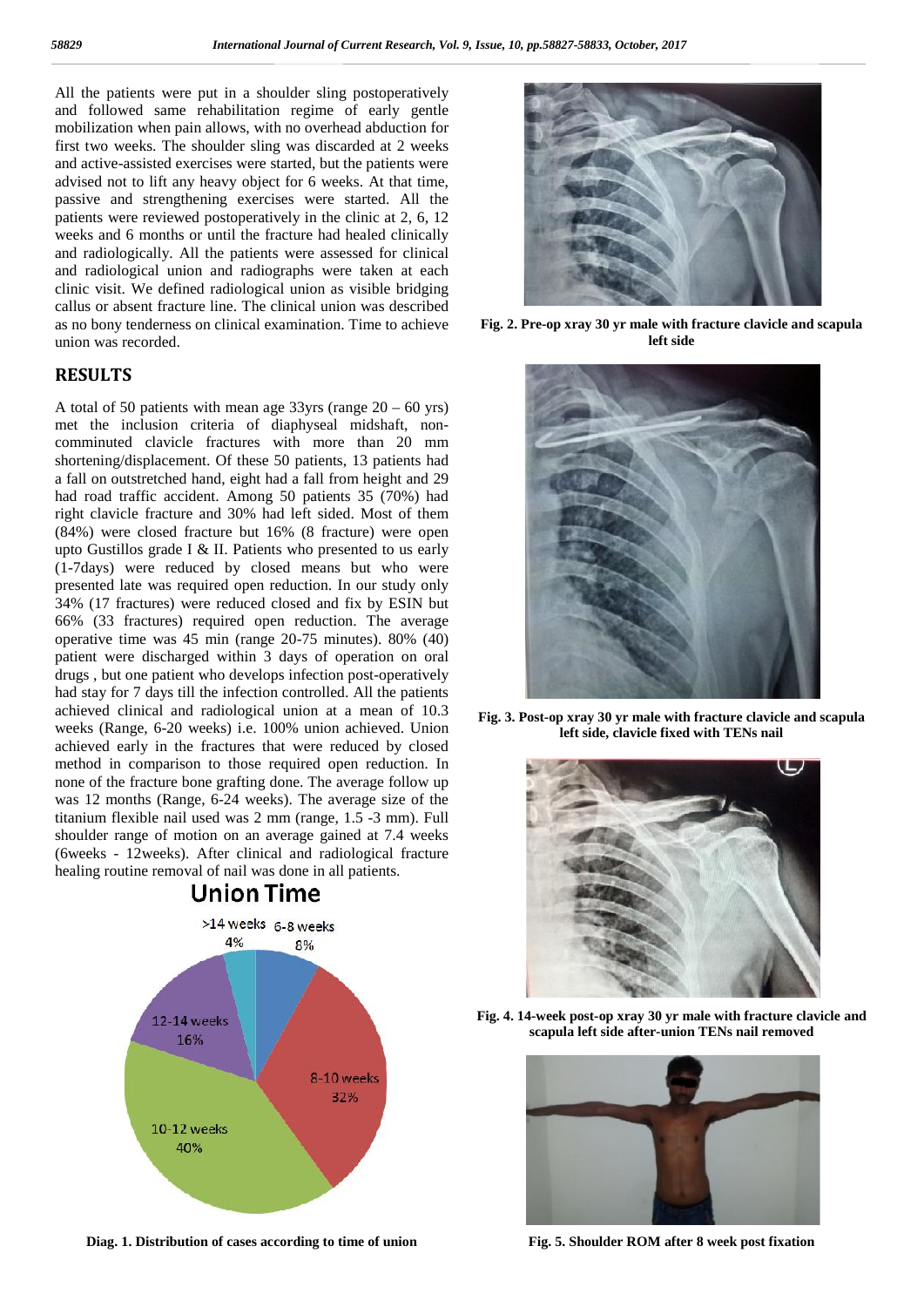All the patients were put in a shoulder sling postoperatively and followed same rehabilitation regime of early gentle mobilization when pain allows, with no overhead abduction for first two weeks. The shoulder sling was discarded at 2 weeks and active-assisted exercises were started, but the patients were advised not to lift any heavy object for 6 weeks. At that time, passive and strengthening exercises were started. All the patients were reviewed postoperatively in the clinic at 2, 6, 12 weeks and 6 months or until the fracture had healed clinically and radiologically. All the patients were assessed for clinical and radiological union and radiographs were taken at each clinic visit. We defined radiological union as visible bridging callus or absent fracture line. The clinical union was described as no bony tenderness on clinical examination. Time to achieve union was recorded.

### **RESULTS**

A total of 50 patients with mean age  $33\gamma$ rs (range  $20 - 60 \gamma$ rs) met the inclusion criteria of diaphyseal midshaft, non comminuted clavicle fractures with more than 20 mm shortening/displacement. Of these 50 patients, 13 patients had a fall on outstretched hand, eight had a fall from height and 29 had road traffic accident. Among 50 patients 35 (70%) had right clavicle fracture and 30% had left sided. Most of them (84%) were closed fracture but 16% (8 fracture) were open upto Gustillos grade I & II. Patients who presented to us early (1-7days) were reduced by closed means but who were presented late was required open reduction. In our study only 34% (17 fractures) were reduced closed and fix by ESIN but 66% (33 fractures) required open reduction. The average operative time was 45 min (range 20-75 minutes). 80% (40) patient were discharged within 3 days of operation on oral drugs , but one patient who develops infection post-operatively had stay for 7 days till the infection controlled. All the patients achieved clinical and radiological union at a mean of 10.3 weeks (Range, 6-20 weeks) i.e. 100% union achieved. Union achieved early in the fractures that were reduced by closed method in comparison to those required open reduction. In none of the fracture bone grafting done. The average follow up was 12 months (Range, 6-24 weeks). The average size of the titanium flexible nail used was 2 mm (range, 1.5 -3 mm). Full shoulder range of motion on an average gained at 7.4 weeks (6weeks - 12weeks). After clinical and radiological fracture healing routine removal of nail was done in all patients.



**Diag. 1. Distribution of cases according to time of union**



**Fig. 2. Pre-op xray 30 yr male with fracture clavicle and scapula left side**



**Fig. 3. Post-op xray 30 yr male with fracture clavicle and scapula left side, clavicle fixed with TENs nail**



**Fig. 4. 14-week post-op xray 30 yr male with fracture clavicle and scapula left side after-union TENs nail removed**



**Fig. 5. Shoulder ROM after 8 week post fixation**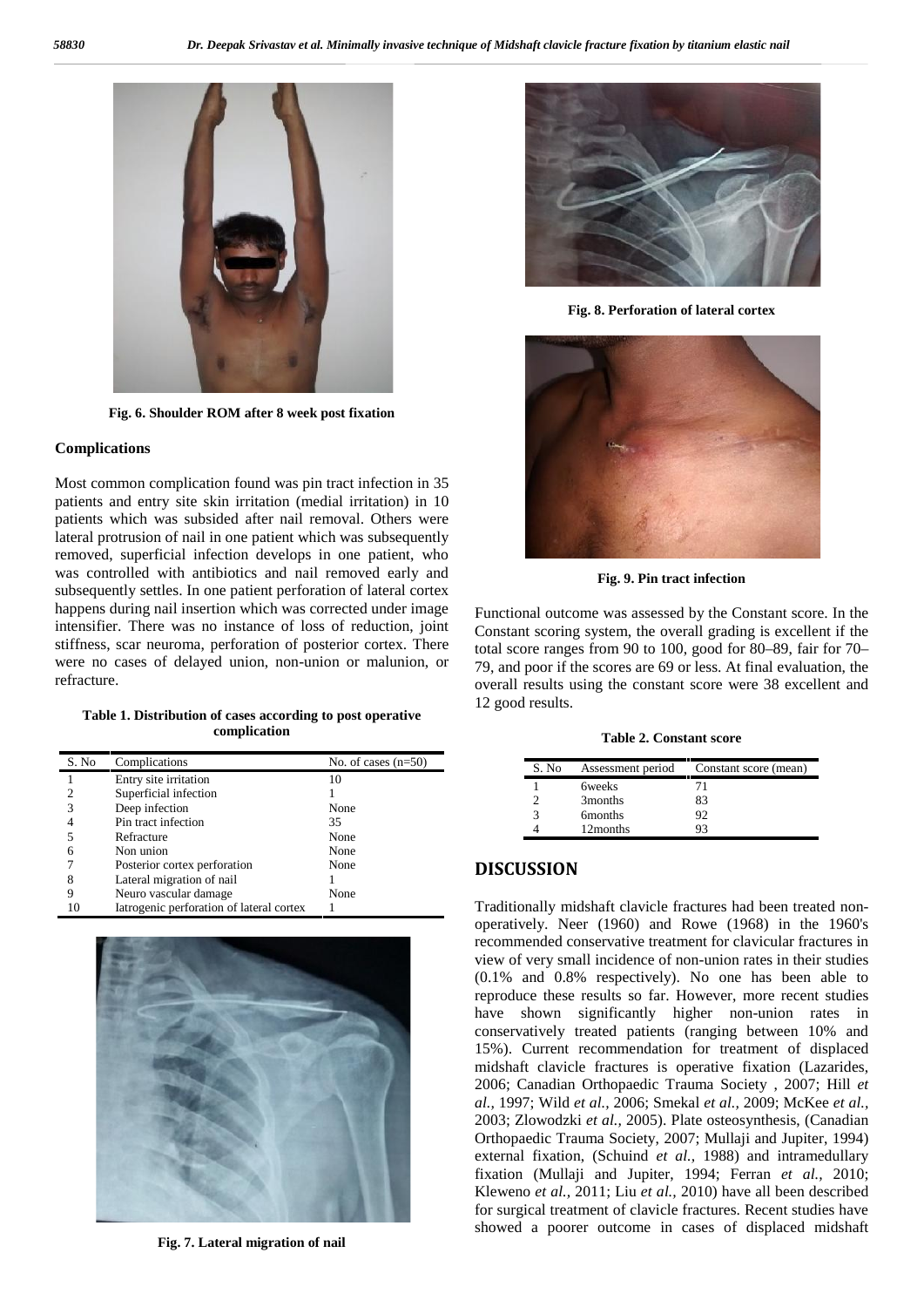

**Fig. 6. Shoulder ROM after 8 week post fixation**

#### **Complications**

Most common complication found was pin tract infection in 35 patients and entry site skin irritation (medial irritation) in 10 patients which was subsided after nail removal. Others were lateral protrusion of nail in one patient which was subsequently removed, superficial infection develops in one patient, who was controlled with antibiotics and nail removed early and subsequently settles. In one patient perforation of lateral cortex happens during nail insertion which was corrected under image intensifier. There was no instance of loss of reduction, joint stiffness, scar neuroma, perforation of posterior cortex. There were no cases of delayed union, non-union or malunion, or refracture.

**Table 1. Distribution of cases according to post operative complication**

| S. No | Complications                            | No. of cases $(n=50)$ |
|-------|------------------------------------------|-----------------------|
|       | Entry site irritation                    | 10                    |
|       | Superficial infection                    |                       |
|       | Deep infection                           | None                  |
|       | Pin tract infection                      | 35                    |
|       | Refracture                               | None                  |
| 6     | Non union                                | None                  |
|       | Posterior cortex perforation             | None                  |
|       | Lateral migration of nail                |                       |
|       | Neuro vascular damage                    | None                  |
| 10    | Iatrogenic perforation of lateral cortex |                       |



**Fig. 7. Lateral migration of nail**



**Fig. 8. Perforation of lateral cortex**



**Fig. 9. Pin tract infection**

Functional outcome was assessed by the Constant score. In the Constant scoring system, the overall grading is excellent if the total score ranges from 90 to 100, good for 80–89, fair for 70– 79, and poor if the scores are 69 or less. At final evaluation, the overall results using the constant score were 38 excellent and 12 good results.

**Table 2. Constant score**

| S. No                  | Assessment period   | Constant score (mean) |
|------------------------|---------------------|-----------------------|
|                        | <b>6</b> weeks      | 71                    |
|                        | 3months             | 83                    |
| $\mathbf{\mathcal{R}}$ | 6 <sub>months</sub> | 92                    |
|                        | 12 months           | 93                    |

### **DISCUSSION**

Traditionally midshaft clavicle fractures had been treated non operatively. Neer (1960) and Rowe (1968) in the 1960's recommended conservative treatment for clavicular fractures in view of very small incidence of non-union rates in their studies (0.1% and 0.8% respectively). No one has been able to reproduce these results so far. However, more recent studies have shown significantly higher non-union rates in conservatively treated patients (ranging between 10% and 15%). Current recommendation for treatment of displaced midshaft clavicle fractures is operative fixation (Lazarides, 2006; Canadian Orthopaedic Trauma Society , 2007; Hill *et al.,* 1997; Wild *et al.,* 2006; Smekal *et al.,* 2009; McKee *et al.,* 2003; Zlowodzki *et al.,* 2005). Plate osteosynthesis, (Canadian Orthopaedic Trauma Society, 2007; Mullaji and Jupiter, 1994) external fixation, (Schuind *et al.,* 1988) and intramedullary fixation (Mullaji and Jupiter, 1994; Ferran *et al.,* 2010; Kleweno *et al.,* 2011; Liu *et al.,* 2010) have all been described for surgical treatment of clavicle fractures. Recent studies have showed a poorer outcome in cases of displaced midshaft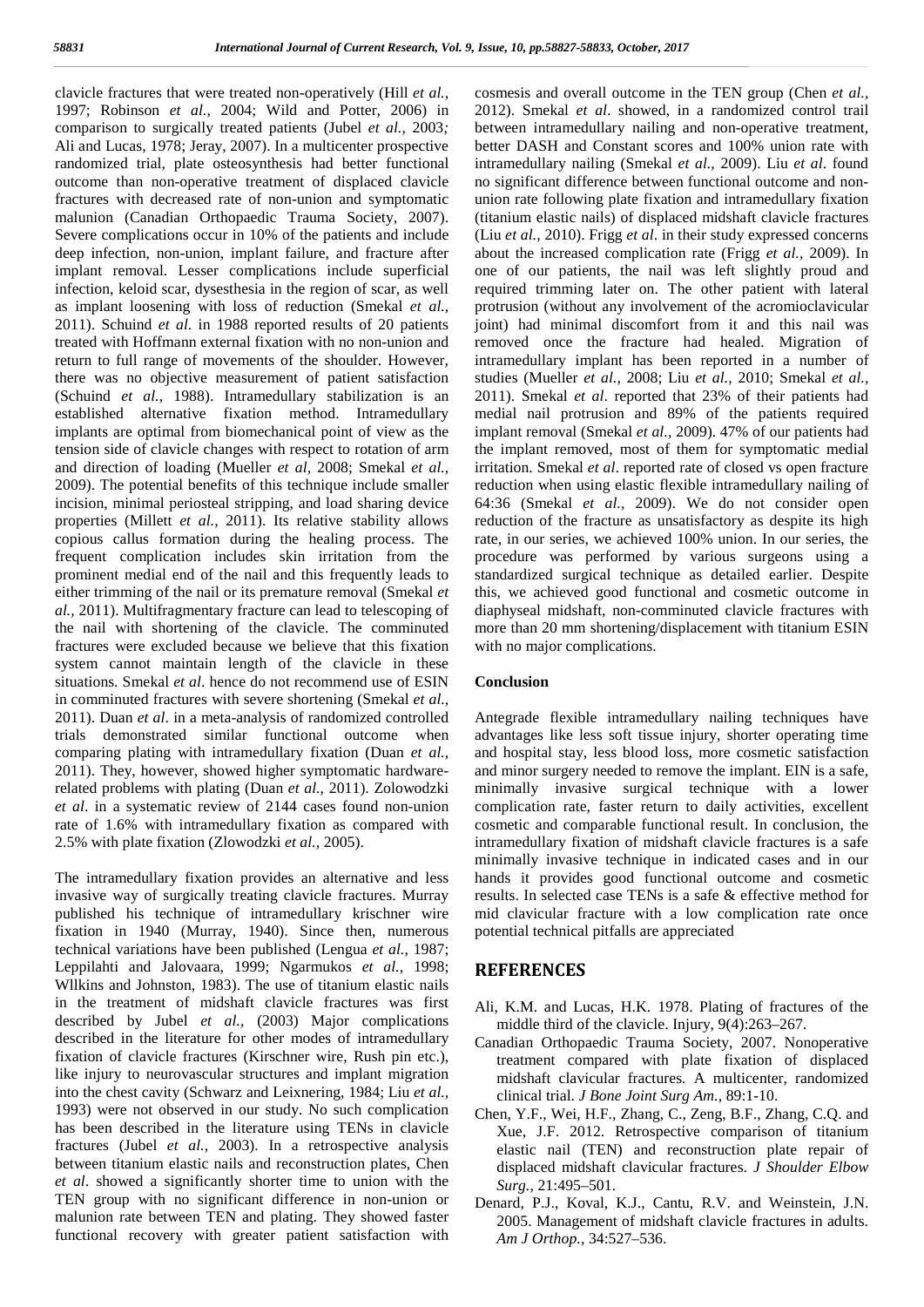clavicle fractures that were treated non-operatively (Hill *et al.,* 1997; Robinson *et al.,* 2004; Wild and Potter, 2006) in comparison to surgically treated patients (Jubel *et al.,* 2003*;* Ali and Lucas, 1978; Jeray, 2007). In a multicenter prospective randomized trial, plate osteosynthesis had better functional outcome than non-operative treatment of displaced clavicle fractures with decreased rate of non-union and symptomatic malunion (Canadian Orthopaedic Trauma Society, 2007). Severe complications occur in 10% of the patients and include deep infection, non-union, implant failure, and fracture after implant removal. Lesser complications include superficial infection, keloid scar, dysesthesia in the region of scar, as well as implant loosening with loss of reduction (Smekal *et al.,* 2011). Schuind *et al*. in 1988 reported results of 20 patients treated with Hoffmann external fixation with no non-union and return to full range of movements of the shoulder. However, there was no objective measurement of patient satisfaction (Schuind *et al.,* 1988). Intramedullary stabilization is an established alternative fixation method. Intramedullary implants are optimal from biomechanical point of view as the tension side of clavicle changes with respect to rotation of arm and direction of loading (Mueller *et al,* 2008; Smekal *et al.,* 2009). The potential benefits of this technique include smaller incision, minimal periosteal stripping, and load sharing device properties (Millett *et al.,* 2011). Its relative stability allows copious callus formation during the healing process. The frequent complication includes skin irritation from the prominent medial end of the nail and this frequently leads to either trimming of the nail or its premature removal (Smekal *et al.,* 2011). Multifragmentary fracture can lead to telescoping of the nail with shortening of the clavicle. The comminuted fractures were excluded because we believe that this fixation system cannot maintain length of the clavicle in these situations. Smekal *et al*. hence do not recommend use of ESIN in comminuted fractures with severe shortening (Smekal *et al.,* 2011). Duan *et al*. in a meta-analysis of randomized controlled trials demonstrated similar functional outcome when comparing plating with intramedullary fixation (Duan *et al.,* 2011). They, however, showed higher symptomatic hardwarerelated problems with plating (Duan *et al.,* 2011). Zolowodzki *et al*. in a systematic review of 2144 cases found non-union rate of 1.6% with intramedullary fixation as compared with 2.5% with plate fixation (Zlowodzki *et al.,* 2005).

The intramedullary fixation provides an alternative and less invasive way of surgically treating clavicle fractures. Murray published his technique of intramedullary krischner wire fixation in 1940 (Murray, 1940). Since then, numerous technical variations have been published (Lengua *et al.,* 1987; Leppilahti and Jalovaara, 1999; Ngarmukos *et al.,* 1998; Wllkins and Johnston, 1983). The use of titanium elastic nails in the treatment of midshaft clavicle fractures was first described by Jubel *et al.,* (2003) Major complications described in the literature for other modes of intramedullary fixation of clavicle fractures (Kirschner wire, Rush pin etc.), like injury to neurovascular structures and implant migration into the chest cavity (Schwarz and Leixnering, 1984; Liu *et al.,* 1993) were not observed in our study. No such complication has been described in the literature using TENs in clavicle fractures (Jubel *et al.,* 2003). In a retrospective analysis between titanium elastic nails and reconstruction plates, Chen *et al*. showed a significantly shorter time to union with the TEN group with no significant difference in non-union or malunion rate between TEN and plating. They showed faster functional recovery with greater patient satisfaction with

cosmesis and overall outcome in the TEN group (Chen *et al.,* 2012). Smekal *et al*. showed, in a randomized control trail between intramedullary nailing and non-operative treatment, better DASH and Constant scores and 100% union rate with intramedullary nailing (Smekal *et al.,* 2009). Liu *et al*. found no significant difference between functional outcome and non union rate following plate fixation and intramedullary fixation (titanium elastic nails) of displaced midshaft clavicle fractures (Liu *et al.,* 2010). Frigg *et al*. in their study expressed concerns about the increased complication rate (Frigg *et al.,* 2009). In one of our patients, the nail was left slightly proud and required trimming later on. The other patient with lateral protrusion (without any involvement of the acromioclavicular joint) had minimal discomfort from it and this nail was removed once the fracture had healed. Migration of intramedullary implant has been reported in a number of studies (Mueller *et al.,* 2008; Liu *et al.,* 2010; Smekal *et al.,* 2011). Smekal *et al*. reported that 23% of their patients had medial nail protrusion and 89% of the patients required implant removal (Smekal *et al.,* 2009). 47% of our patients had the implant removed, most of them for symptomatic medial irritation. Smekal *et al*. reported rate of closed vs open fracture reduction when using elastic flexible intramedullary nailing of 64:36 (Smekal *et al.,* 2009). We do not consider open reduction of the fracture as unsatisfactory as despite its high rate, in our series, we achieved 100% union. In our series, the procedure was performed by various surgeons using a standardized surgical technique as detailed earlier. Despite this, we achieved good functional and cosmetic outcome in diaphyseal midshaft, non-comminuted clavicle fractures with more than 20 mm shortening/displacement with titanium ESIN with no major complications.

#### **Conclusion**

Antegrade flexible intramedullary nailing techniques have advantages like less soft tissue injury, shorter operating time and hospital stay, less blood loss, more cosmetic satisfaction and minor surgery needed to remove the implant. EIN is a safe, minimally invasive surgical technique with a lower complication rate, faster return to daily activities, excellent cosmetic and comparable functional result. In conclusion, the intramedullary fixation of midshaft clavicle fractures is a safe minimally invasive technique in indicated cases and in our hands it provides good functional outcome and cosmetic results. In selected case TENs is a safe & effective method for mid clavicular fracture with a low complication rate once potential technical pitfalls are appreciated

### **REFERENCES**

- Ali, K.M. and Lucas, H.K. 1978. Plating of fractures of the middle third of the clavicle. Injury, 9(4):263–267.
- Canadian Orthopaedic Trauma Society, 2007. Nonoperative treatment compared with plate fixation of displaced midshaft clavicular fractures. A multicenter, randomized clinical trial. *J Bone Joint Surg Am.,* 89:1-10.
- Chen, Y.F., Wei, H.F., Zhang, C., Zeng, B.F., Zhang, C.Q. and Xue, J.F. 2012. Retrospective comparison of titanium elastic nail (TEN) and reconstruction plate repair of displaced midshaft clavicular fractures. *J Shoulder Elbow Surg.,* 21:495–501.
- Denard, P.J., Koval, K.J., Cantu, R.V. and Weinstein, J.N. 2005. Management of midshaft clavicle fractures in adults. *Am J Orthop.,* 34:527–536.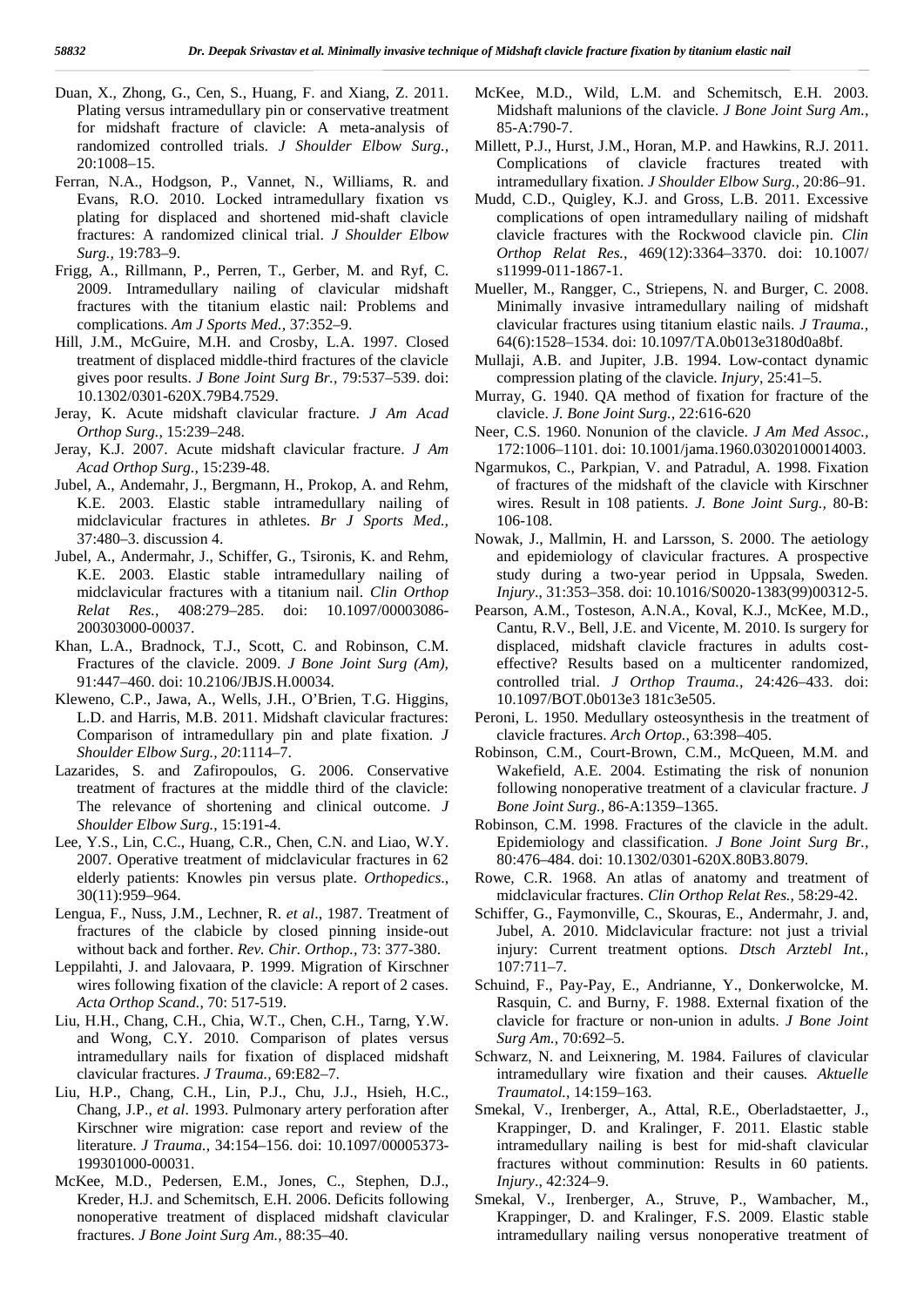- Duan, X., Zhong, G., Cen, S., Huang, F. and Xiang, Z. 2011. Plating versus intramedullary pin or conservative treatment for midshaft fracture of clavicle: A meta-analysis of randomized controlled trials. *J Shoulder Elbow Surg.,* 20:1008–15.
- Ferran, N.A., Hodgson, P., Vannet, N., Williams, R. and Evans, R.O. 2010. Locked intramedullary fixation vs plating for displaced and shortened mid-shaft clavicle fractures: A randomized clinical trial. *J Shoulder Elbow Surg.,* 19:783–9.
- Frigg, A., Rillmann, P., Perren, T., Gerber, M. and Ryf, C. 2009. Intramedullary nailing of clavicular midshaft fractures with the titanium elastic nail: Problems and complications. *Am J Sports Med.,* 37:352–9.
- Hill, J.M., McGuire, M.H. and Crosby, L.A. 1997. Closed treatment of displaced middle-third fractures of the clavicle gives poor results. *J Bone Joint Surg Br.,* 79:537–539. doi: 10.1302/0301-620X.79B4.7529.
- Jeray, K. Acute midshaft clavicular fracture. *J Am Acad Orthop Surg.,* 15:239–248.
- Jeray, K.J. 2007. Acute midshaft clavicular fracture. *J Am Acad Orthop Surg.,* 15:239-48.
- Jubel, A., Andemahr, J., Bergmann, H., Prokop, A. and Rehm, K.E. 2003. Elastic stable intramedullary nailing of midclavicular fractures in athletes. *Br J Sports Med.,* 37:480–3. discussion 4.
- Jubel, A., Andermahr, J., Schiffer, G., Tsironis, K. and Rehm, K.E. 2003. Elastic stable intramedullary nailing of midclavicular fractures with a titanium nail. *Clin Orthop Relat Res.,* 408:279–285. doi: 10.1097/00003086- 200303000-00037.
- Khan, L.A., Bradnock, T.J., Scott, C. and Robinson, C.M. Fractures of the clavicle. 2009. *J Bone Joint Surg (Am),* 91:447–460. doi: 10.2106/JBJS.H.00034.
- Kleweno, C.P., Jawa, A., Wells, J.H., O'Brien, T.G. Higgins, L.D. and Harris, M.B. 2011. Midshaft clavicular fractures: Comparison of intramedullary pin and plate fixation. *J Shoulder Elbow Surg., 20*:1114–7.
- Lazarides, S. and Zafiropoulos, G. 2006. Conservative treatment of fractures at the middle third of the clavicle: The relevance of shortening and clinical outcome. *J Shoulder Elbow Surg.,* 15:191-4.
- Lee, Y.S., Lin, C.C., Huang, C.R., Chen, C.N. and Liao, W.Y. 2007. Operative treatment of midclavicular fractures in 62 elderly patients: Knowles pin versus plate. *Orthopedics*., 30(11):959–964.
- Lengua, F., Nuss, J.M., Lechner, R. *et al*., 1987. Treatment of fractures of the clabicle by closed pinning inside-out without back and forther. *Rev. Chir. Orthop.,* 73: 377-380.
- Leppilahti, J. and Jalovaara, P. 1999. Migration of Kirschner wires following fixation of the clavicle: A report of 2 cases. *Acta Orthop Scand.,* 70: 517-519.
- Liu, H.H., Chang, C.H., Chia, W.T., Chen, C.H., Tarng, Y.W. and Wong, C.Y. 2010. Comparison of plates versus intramedullary nails for fixation of displaced midshaft clavicular fractures. *J Trauma.,* 69:E82–7.
- Liu, H.P., Chang, C.H., Lin, P.J., Chu, J.J., Hsieh, H.C., Chang, J.P., *et al*. 1993. Pulmonary artery perforation after Kirschner wire migration: case report and review of the literature. *J Trauma.,* 34:154–156. doi: 10.1097/00005373- 199301000-00031.
- McKee, M.D., Pedersen, E.M., Jones, C., Stephen, D.J., Kreder, H.J. and Schemitsch, E.H. 2006. Deficits following nonoperative treatment of displaced midshaft clavicular fractures. *J Bone Joint Surg Am.,* 88:35–40.
- McKee, M.D., Wild, L.M. and Schemitsch, E.H. 2003. Midshaft malunions of the clavicle. *J Bone Joint Surg Am.,* 85-A:790-7.
- Millett, P.J., Hurst, J.M., Horan, M.P. and Hawkins, R.J. 2011. Complications of clavicle fractures treated with intramedullary fixation. *J Shoulder Elbow Surg.,* 20:86–91.
- Mudd, C.D., Quigley, K.J. and Gross, L.B. 2011. Excessive complications of open intramedullary nailing of midshaft clavicle fractures with the Rockwood clavicle pin. *Clin Orthop Relat Res.,* 469(12):3364–3370. doi: 10.1007/ s11999-011-1867-1.
- Mueller, M., Rangger, C., Striepens, N. and Burger, C. 2008. Minimally invasive intramedullary nailing of midshaft clavicular fractures using titanium elastic nails. *J Trauma.,* 64(6):1528–1534. doi: 10.1097/TA.0b013e3180d0a8bf.
- Mullaji, A.B. and Jupiter, J.B. 1994. Low-contact dynamic compression plating of the clavicle. *Injury*, 25:41–5.
- Murray, G. 1940. QA method of fixation for fracture of the clavicle. *J. Bone Joint Surg.,* 22:616-620
- Neer, C.S. 1960. Nonunion of the clavicle. *J Am Med Assoc.,* 172:1006–1101. doi: 10.1001/jama.1960.03020100014003.
- Ngarmukos, C., Parkpian, V. and Patradul, A. 1998. Fixation of fractures of the midshaft of the clavicle with Kirschner wires. Result in 108 patients. *J. Bone Joint Surg.,* 80-B: 106-108.
- Nowak, J., Mallmin, H. and Larsson, S. 2000. The aetiology and epidemiology of clavicular fractures. A prospective study during a two-year period in Uppsala, Sweden. *Injury*., 31:353–358. doi: 10.1016/S0020-1383(99)00312-5.
- Pearson, A.M., Tosteson, A.N.A., Koval, K.J., McKee, M.D., Cantu, R.V., Bell, J.E. and Vicente, M. 2010. Is surgery for displaced, midshaft clavicle fractures in adults cost effective? Results based on a multicenter randomized, controlled trial. *J Orthop Trauma.,* 24:426–433. doi: 10.1097/BOT.0b013e3 181c3e505.
- Peroni, L. 1950. Medullary osteosynthesis in the treatment of clavicle fractures. *Arch Ortop.,* 63:398–405.
- Robinson, C.M., Court-Brown, C.M., McQueen, M.M. and Wakefield, A.E. 2004. Estimating the risk of nonunion following nonoperative treatment of a clavicular fracture. *J Bone Joint Surg.,* 86-A:1359–1365.
- Robinson, C.M. 1998. Fractures of the clavicle in the adult. Epidemiology and classification. *J Bone Joint Surg Br.,* 80:476–484. doi: 10.1302/0301-620X.80B3.8079.
- Rowe, C.R. 1968. An atlas of anatomy and treatment of midclavicular fractures. *Clin Orthop Relat Res.,* 58:29-42.
- Schiffer, G., Faymonville, C., Skouras, E., Andermahr, J. and, Jubel, A. 2010. Midclavicular fracture: not just a trivial injury: Current treatment options. *Dtsch Arztebl Int.,* 107:711–7.
- Schuind, F., Pay-Pay, E., Andrianne, Y., Donkerwolcke, M. Rasquin, C. and Burny, F. 1988. External fixation of the clavicle for fracture or non-union in adults. *J Bone Joint Surg Am.,* 70:692–5.
- Schwarz, N. and Leixnering, M. 1984. Failures of clavicular intramedullary wire fixation and their causes*. Aktuelle Traumatol.,* 14:159–163.
- Smekal, V., Irenberger, A., Attal, R.E., Oberladstaetter, J., Krappinger, D. and Kralinger, F. 2011. Elastic stable intramedullary nailing is best for mid-shaft clavicular fractures without comminution: Results in 60 patients. *Injury*., 42:324–9.
- Smekal, V., Irenberger, A., Struve, P., Wambacher, M., Krappinger, D. and Kralinger, F.S. 2009. Elastic stable intramedullary nailing versus nonoperative treatment of